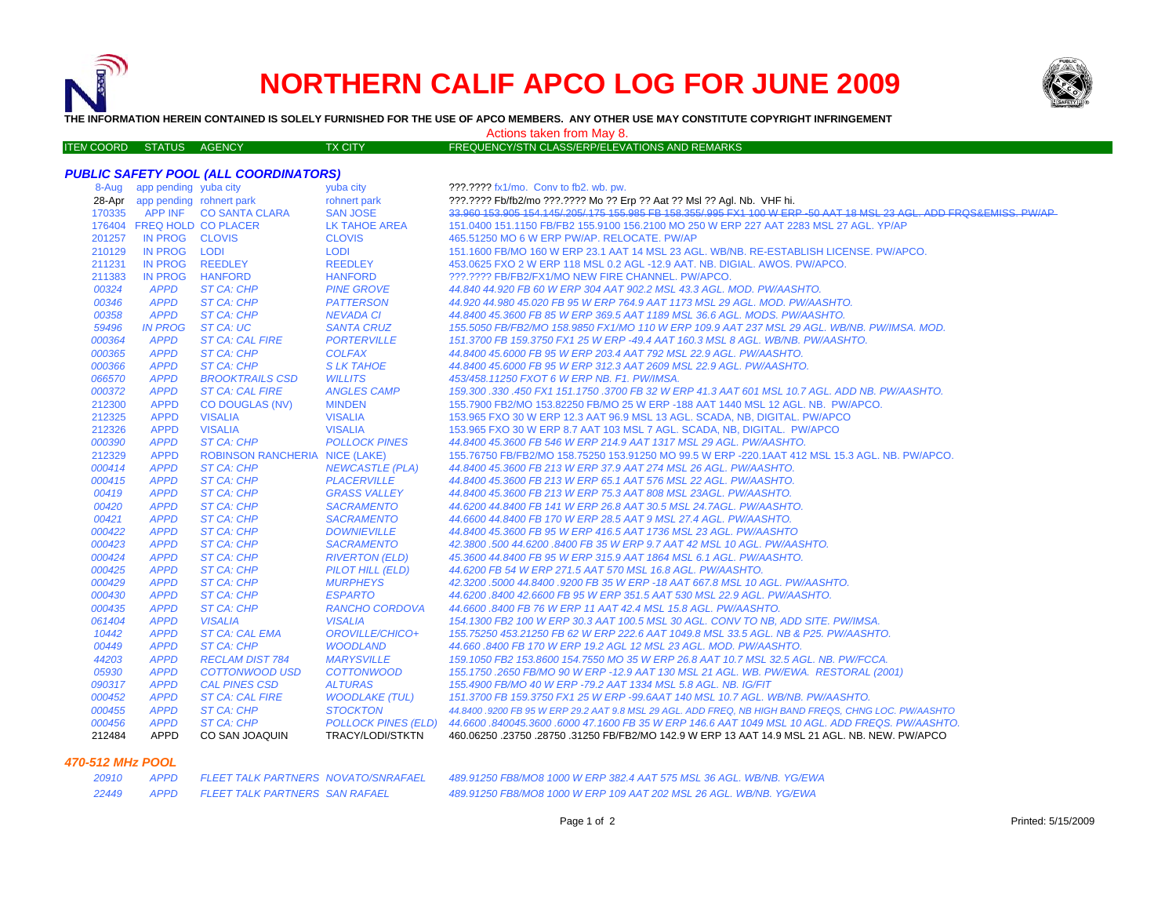

# **NORTHERN CALIF APCO LOG FOR JUNE 2009**



**THE INFORMATION HEREIN CONTAINED IS SOLELY FURNISHED FOR THE USE OF APCO MEMBERS. ANY OTHER USE MAY CONSTITUTE COPYRIGHT INFRINGEMENT**

### Actions taken from May 8.

| ITEN COORD STATUS AGENCY |  | <b>TX CITY</b> | FREQUENCY/STN CLASS/ERP/ELEVATIONS AND REMARKS |
|--------------------------|--|----------------|------------------------------------------------|
|                          |  |                |                                                |

## *PUBLIC SAFETY POOL (ALL COORDINATORS)*

| 8-Aug  | app pending yuba city           |                                       | yuba city              | ???.???? fx1/mo. Conv to fb2. wb. pw.                                                                               |
|--------|---------------------------------|---------------------------------------|------------------------|---------------------------------------------------------------------------------------------------------------------|
|        | 28-Apr app pending rohnert park |                                       | rohnert park           | ???.???? Fb/fb2/mo ???.???? Mo ?? Erp ?? Aat ?? Msl ?? Agl. Nb. VHF hi.                                             |
| 170335 |                                 | APP INF CO SANTA CLARA                | <b>SAN JOSE</b>        | 33.960 153.905 154.145/.205/.175 155.985 FB 158.355/.995 FX1 100 W ERP -50 AAT 18 MSL 23 AGL. ADD FRQS&EMISS. PW/AP |
|        | 176404 FREQ HOLD CO PLACER      |                                       | LK TAHOE AREA          | 151.0400 151.1150 FB/FB2 155.9100 156.2100 MO 250 W ERP 227 AAT 2283 MSL 27 AGL. YP/AP                              |
| 201257 | IN PROG CLOVIS                  |                                       | <b>CLOVIS</b>          | 465.51250 MO 6 W ERP PW/AP, RELOCATE, PW/AP                                                                         |
| 210129 | IN PROG LODI                    |                                       | <b>LODI</b>            | 151.1600 FB/MO 160 W ERP 23.1 AAT 14 MSL 23 AGL. WB/NB. RE-ESTABLISH LICENSE. PW/APCO.                              |
| 211231 | <b>IN PROG</b>                  | <b>REEDLEY</b>                        | <b>REEDLEY</b>         | 453.0625 FXO 2 W ERP 118 MSL 0.2 AGL -12.9 AAT. NB. DIGIAL. AWOS. PW/APCO.                                          |
| 211383 | <b>IN PROG</b>                  | <b>HANFORD</b>                        | <b>HANFORD</b>         | ???.???? FB/FB2/FX1/MO NEW FIRE CHANNEL. PW/APCO.                                                                   |
| 00324  | <b>APPD</b>                     | ST CA: CHP                            | <b>PINE GROVE</b>      | 44.840 44.920 FB 60 W ERP 304 AAT 902.2 MSL 43.3 AGL. MOD. PW/AASHTO.                                               |
| 00346  | <b>APPD</b>                     | ST CA: CHP                            | <b>PATTERSON</b>       | 44.920 44.980 45.020 FB 95 W ERP 764.9 AAT 1173 MSL 29 AGL, MOD, PW/AASHTO,                                         |
| 00358  | <b>APPD</b>                     | ST CA: CHP                            | <b>NEVADA CI</b>       | 44.8400 45.3600 FB 85 W ERP 369.5 AAT 1189 MSL 36.6 AGL, MODS, PW/AASHTO,                                           |
| 59496  | <b>IN PROG</b>                  | ST CA: UC                             | <b>SANTA CRUZ</b>      | 155.5050 FB/FB2/MO 158.9850 FX1/MO 110 W ERP 109.9 AAT 237 MSL 29 AGL. WB/NB. PW/IMSA. MOD.                         |
| 000364 | <b>APPD</b>                     | <b>ST CA: CAL FIRE</b>                | <b>PORTERVILLE</b>     | 151.3700 FB 159.3750 FX1 25 W ERP -49.4 AAT 160.3 MSL 8 AGL. WB/NB. PW/AASHTO.                                      |
| 000365 | <b>APPD</b>                     | ST CA: CHP                            | <b>COLFAX</b>          | 44.8400 45.6000 FB 95 W ERP 203.4 AAT 792 MSL 22.9 AGL. PW/AASHTO.                                                  |
| 000366 | <b>APPD</b>                     | ST CA: CHP                            | <b>SLK TAHOE</b>       | 44.8400 45.6000 FB 95 W ERP 312.3 AAT 2609 MSL 22.9 AGL. PW/AASHTO.                                                 |
| 066570 | <b>APPD</b>                     | <b>BROOKTRAILS CSD</b>                | <b>WILLITS</b>         | 453/458.11250 FXOT 6 W ERP NB. F1. PW/IMSA.                                                                         |
| 000372 | <b>APPD</b>                     | <b>ST CA: CAL FIRE</b>                | <b>ANGLES CAMP</b>     | 159.300 .330 .450 FX1 151.1750 .3700 FB 32 W ERP 41.3 AAT 601 MSL 10.7 AGL. ADD NB. PW/AASHTO.                      |
| 212300 | <b>APPD</b>                     | <b>CO DOUGLAS (NV)</b>                | <b>MINDEN</b>          | 155.7900 FB2/MO 153.82250 FB/MO 25 W ERP -188 AAT 1440 MSL 12 AGL. NB. PW/APCO.                                     |
| 212325 | <b>APPD</b>                     | <b>VISALIA</b>                        | <b>VISALIA</b>         | 153.965 FXO 30 W ERP 12.3 AAT 96.9 MSL 13 AGL. SCADA, NB, DIGITAL. PW/APCO                                          |
| 212326 | <b>APPD</b>                     | <b>VISALIA</b>                        | <b>VISALIA</b>         | 153.965 FXO 30 W ERP 8.7 AAT 103 MSL 7 AGL. SCADA, NB, DIGITAL. PW/APCO                                             |
| 000390 | <b>APPD</b>                     | ST CA: CHP                            | <b>POLLOCK PINES</b>   | 44.8400 45.3600 FB 546 W ERP 214.9 AAT 1317 MSL 29 AGL. PW/AASHTO.                                                  |
| 212329 | <b>APPD</b>                     | <b>ROBINSON RANCHERIA NICE (LAKE)</b> |                        | 155.76750 FB/FB2/MO 158.75250 153.91250 MO 99.5 W ERP -220.1AAT 412 MSL 15.3 AGL. NB. PW/APCO.                      |
| 000414 | <b>APPD</b>                     | ST CA: CHP                            | <b>NEWCASTLE (PLA)</b> | 44.8400 45.3600 FB 213 W ERP 37.9 AAT 274 MSL 26 AGL. PW/AASHTO.                                                    |
| 000415 | <b>APPD</b>                     | ST CA: CHP                            | <b>PLACERVILLE</b>     | 44.8400 45.3600 FB 213 W ERP 65.1 AAT 576 MSL 22 AGL. PW/AASHTO.                                                    |
| 00419  | <b>APPD</b>                     | ST CA: CHP                            | <b>GRASS VALLEY</b>    | 44.8400 45.3600 FB 213 W ERP 75.3 AAT 808 MSL 23AGL. PW/AASHTO.                                                     |
| 00420  | <b>APPD</b>                     | ST CA: CHP                            | <b>SACRAMENTO</b>      | 44.6200 44.8400 FB 141 W ERP 26.8 AAT 30.5 MSL 24.7AGL. PW/AASHTO.                                                  |
| 00421  | <b>APPD</b>                     | ST CA: CHP                            | <b>SACRAMENTO</b>      | 44.6600 44.8400 FB 170 W ERP 28.5 AAT 9 MSL 27.4 AGL. PW/AASHTO.                                                    |
| 000422 | <b>APPD</b>                     | ST CA: CHP                            | <b>DOWNIEVILLE</b>     | 44.8400 45.3600 FB 95 W ERP 416.5 AAT 1736 MSL 23 AGL. PW/AASHTO                                                    |
| 000423 | <b>APPD</b>                     | <b>ST CA: CHP</b>                     | <b>SACRAMENTO</b>      | 42.3800.500 44.6200.8400 FB 35 W ERP 9.7 AAT 42 MSL 10 AGL. PW/AASHTO.                                              |
| 000424 | <b>APPD</b>                     | ST CA: CHP                            | <b>RIVERTON (ELD)</b>  | 45.3600 44.8400 FB 95 W ERP 315.9 AAT 1864 MSL 6.1 AGL. PW/AASHTO.                                                  |
| 000425 | <b>APPD</b>                     | ST CA: CHP                            | PILOT HILL (ELD)       | 44.6200 FB 54 W ERP 271.5 AAT 570 MSL 16.8 AGL. PW/AASHTO.                                                          |
| 000429 | <b>APPD</b>                     | <b>ST CA: CHP</b>                     | <b>MURPHEYS</b>        | 42.3200 .5000 44.8400 .9200 FB 35 W ERP -18 AAT 667.8 MSL 10 AGL. PW/AASHTO.                                        |
| 000430 | <b>APPD</b>                     | ST CA: CHP                            | <b>ESPARTO</b>         | 44.6200 .8400 42.6600 FB 95 W ERP 351.5 AAT 530 MSL 22.9 AGL. PW/AASHTO.                                            |
| 000435 | <b>APPD</b>                     | ST CA: CHP                            | RANCHO CORDOVA         | 44.6600.8400 FB 76 W ERP 11 AAT 42.4 MSL 15.8 AGL. PW/AASHTO.                                                       |
| 061404 | <b>APPD</b>                     | <b>VISALIA</b>                        | <b>VISALIA</b>         | 154.1300 FB2 100 W ERP 30.3 AAT 100.5 MSL 30 AGL. CONV TO NB, ADD SITE. PW/IMSA.                                    |
| 10442  | <b>APPD</b>                     | <b>ST CA: CAL EMA</b>                 | OROVILLE/CHICO+        | 155,75250 453,21250 FB 62 W ERP 222.6 AAT 1049.8 MSL 33.5 AGL, NB & P25, PW/AASHTO,                                 |
| 00449  | <b>APPD</b>                     | ST CA: CHP                            | <b>WOODLAND</b>        | 44.660.8400 FB 170 W ERP 19.2 AGL 12 MSL 23 AGL. MOD. PW/AASHTO.                                                    |
| 44203  | <b>APPD</b>                     | <b>RECLAM DIST 784</b>                | <b>MARYSVILLE</b>      | 159.1050 FB2 153.8600 154.7550 MO 35 W ERP 26.8 AAT 10.7 MSL 32.5 AGL. NB. PW/FCCA.                                 |
| 05930  | <b>APPD</b>                     | <b>COTTONWOOD USD</b>                 | <b>COTTONWOOD</b>      | 155.1750.2650 FB/MO 90 W ERP -12.9 AAT 130 MSL 21 AGL. WB. PW/EWA. RESTORAL (2001)                                  |
| 090317 | <b>APPD</b>                     | <b>CAL PINES CSD</b>                  | <b>ALTURAS</b>         | 155.4900 FB/MO 40 W ERP -79.2 AAT 1334 MSL 5.8 AGL. NB. IG/FIT                                                      |
| 000452 | <b>APPD</b>                     | <b>ST CA: CAL FIRE</b>                | <b>WOODLAKE (TUL)</b>  | 151.3700 FB 159.3750 FX1 25 W ERP -99.6AAT 140 MSL 10.7 AGL, WB/NB, PW/AASHTO,                                      |
| 000455 | <b>APPD</b>                     | ST CA: CHP                            | <b>STOCKTON</b>        | 44.8400 .9200 FB 95 W ERP 29.2 AAT 9.8 MSL 29 AGL. ADD FREQ, NB HIGH BAND FREQS, CHNG LOC. PW/AASHTO                |
| 000456 | <b>APPD</b>                     | ST CA: CHP                            |                        | POLLOCK PINES (ELD) 44.6600 .840045.3600 .6000 47.1600 FB 35 W ERP 146.6 AAT 1049 MSL 10 AGL. ADD FREQS. PW/AASHTO. |
| 212484 | <b>APPD</b>                     | CO SAN JOAQUIN                        | TRACY/LODI/STKTN       | 460.06250 .23750 .28750 .31250 FB/FB2/MO 142.9 W ERP 13 AAT 14.9 MSL 21 AGL. NB. NEW. PW/APCO                       |

## *470-512 MHz POOL*

 *APPD FLEET TALK PARTNERS NOVATO/SNRAFAEL 489.91250 FB8/MO8 1000 W ERP 382.4 AAT 575 MSL 36 AGL. WB/NB. YG/EWA APPD FLEET TALK PARTNERS SAN RAFAEL 489.91250 FB8/MO8 1000 W ERP 109 AAT 202 MSL 26 AGL. WB/NB. YG/EWA*